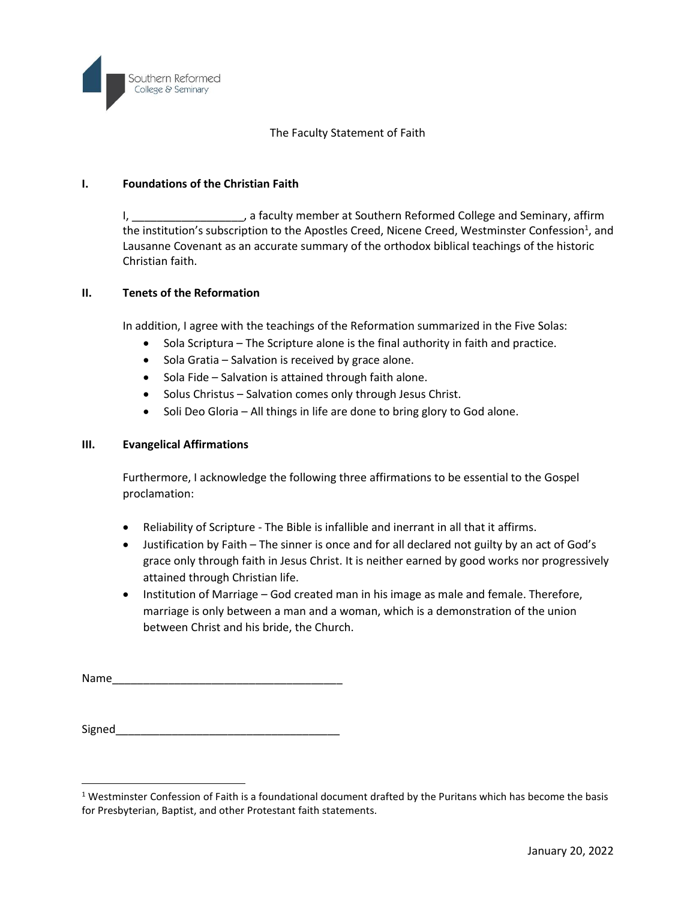

The Faculty Statement of Faith

## **I. Foundations of the Christian Faith**

I, \_\_\_\_\_\_\_\_\_\_\_\_\_\_\_\_\_\_, a faculty member at Southern Reformed College and Seminary, affirm the institution's subscription to the Apostles Creed, Nicene Creed, Westminster Confession<sup>1</sup>, and Lausanne Covenant as an accurate summary of the orthodox biblical teachings of the historic Christian faith.

## **II. Tenets of the Reformation**

In addition, I agree with the teachings of the Reformation summarized in the Five Solas:

- Sola Scriptura The Scripture alone is the final authority in faith and practice.
- Sola Gratia Salvation is received by grace alone.
- Sola Fide Salvation is attained through faith alone.
- Solus Christus Salvation comes only through Jesus Christ.
- Soli Deo Gloria All things in life are done to bring glory to God alone.

## **III. Evangelical Affirmations**

Furthermore, I acknowledge the following three affirmations to be essential to the Gospel proclamation:

- Reliability of Scripture The Bible is infallible and inerrant in all that it affirms.
- Justification by Faith The sinner is once and for all declared not guilty by an act of God's grace only through faith in Jesus Christ. It is neither earned by good works nor progressively attained through Christian life.
- Institution of Marriage God created man in his image as male and female. Therefore, marriage is only between a man and a woman, which is a demonstration of the union between Christ and his bride, the Church.

Name\_\_\_\_\_\_\_\_\_\_\_\_\_\_\_\_\_\_\_\_\_\_\_\_\_\_\_\_\_\_\_\_\_\_\_\_\_

 $Signal$ 

l

<sup>&</sup>lt;sup>1</sup> Westminster Confession of Faith is a foundational document drafted by the Puritans which has become the basis for Presbyterian, Baptist, and other Protestant faith statements.